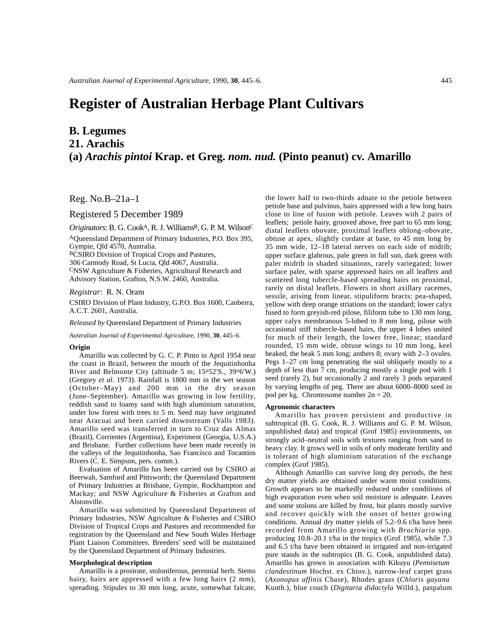# **Register of Australian Herbage Plant Cultivars**

# **B. Legumes**

**21. Arachis**

# **(a)** *Arachis pintoi* **Krap. et Greg.** *nom. nud.* **(Pinto peanut) cv. Amarillo**

Reg. No.B–21a–1

Registered 5 December 1989

*Originators*: B. G. CookA, R. J. WilliamsB, G. P. M. WilsonC

AQueensland Department of Primary Industries, P.O. Box 395, Gympie, Qld 4570, Australia.

BCSIRO Division of Tropical Crops and Pastures,

306 Carmody Road, St Lucia, Qld 4067, Australia.

CNSW Agriculture & Fisheries, Agricultural Research and Advisory Station, Grafton, N.S.W. 2460, Australia.

*Registrar*: R. N. Oram

CSIRO Division of Plant Industry, G.P.O. Box 1600, Canberra, A.C.T. 2601, Australia.

*Released by* Queensland Department of Primary Industries

*Australian Journal of Experimental Agriculture,* 1990, **30**, 445–6.

#### **Origin**

Amarillo was collected by G. C. P. Pinto in April 1954 near the coast in Brazil, between the mouth of the Jequitinhonha River and Belmonte City (altitude 5 m; 15o52'S., 39o6'W.) (Gregory *et al*. 1973). Rainfall is 1800 mm in the wet season (October–May) and 200 mm in the dry season (June–September). Amarillo was growing in low fertility, reddish sand to loamy sand with high aluminium saturation, under low forest with trees to 5 m. Seed may have originated near Aracuai and been carried downstream (Valls 1983). Amarillo seed was transferred in turn to Cruz das Almas (Brazil), Corrientes (Argentina), Experiment (Georgia, U.S.A.) and Brisbane. Further collections have been made recently in the valleys of the Jequitinhonha, Sao Francisco and Tocantins Rivers (C. E. Simpson, pers. comm.).

Evaluation of Amarillo has been carried out by CSIRO at Beerwah, Samford and Pittsworth; the Queensland Department of Primary Industries at Brisbane, Gympie, Rockhampton and Mackay; and NSW Agriculture & Fisheries at Grafton and Alstonville.

Amarillo was submitted by Queensland Department of Primary Industries, NSW Agriculture & Fisheries and CSIRO Division of Tropical Crops and Pastures and recommended for registration by the Queensland and New South Wales Herbage Plant Liaison Committees. Breeders' seed will be maintained by the Queensland Department of Primary Industries.

# **Morphological description**

Amarillo is a prostrate, stoloniferous, perennial herb. Stems hairy, hairs are appressed with a few long hairs  $(2 \text{ mm})$ , spreading. Stipules to 30 mm long, acute, somewhat falcate,

the lower half to two-thirds adnate to the petiole between petiole base and pulvinus, hairs appressed with a few long hairs close to line of fusion with petiole. Leaves with 2 pairs of leaflets; petiole hairy, grooved above, free part to 65 mm long; distal leaflets obovate, proximal leaflets oblong–obovate, obtuse at apex, slightly cordate at base, to 45 mm long by 35 mm wide, 12–18 lateral nerves on each side of midrib; upper surface glabrous, pale green in full sun, dark green with paler midrib in shaded situations, rarely variegated; lower surface paler, with sparse appressed hairs on all leaflets and scattered long tubercle-based spreading hairs on proximal, rarely on distal leaflets. Flowers in short axillary racemes, sessile, arising from linear, stipuliform bracts; pea-shaped, yellow with deep orange striations on the standard; lower calyx fused to form greyish-red pilose, filiform tube to 130 mm long, upper calyx membranous 5-lobed to 8 mm long, pilose with occasional stiff tubercle-based hairs, the upper 4 lobes united for much of their length, the lower free, linear; standard rounded, 15 mm wide, obtuse wings to 10 mm long, keel beaked, the beak 5 mm long; anthers 8; ovary with 2–3 ovules. Pegs 1–27 cm long penetrating the soil obliquely mostly to a depth of less than 7 cm, producing mostly a single pod with 1 seed (rarely 2), but occasionally 2 and rarely 3 pods separated by varying lengths of peg. There are about 6000–8000 seed in pod per kg. Chromosome number 2n = 20.

### **Agronomic characters**

Amarillo has proven persistent and productive in subtropical (B. G. Cook, R. J. Williams and G. P. M. Wilson, unpublished data) and tropical (Grof 1985) environments, on strongly acid–neutral soils with textures ranging from sand to heavy clay. It grows well in soils of only moderate fertility and is tolerant of high aluminium saturation of the exchange complex (Grof 1985).

Although Amarillo can survive long dry periods, the best dry matter yields are obtained under warm moist conditions. Growth appears to be markedly reduced under conditions of high evaporation even when soil moisture is adequate. Leaves and some stolons are killed by frost, but plants mostly survive and recover quickly with the onset of better growing conditions. Annual dry matter yields of 5.2–9.6 t/ha have been recorded from Amarillo growing with *Brachiaria* spp. producing 10.8–20.1 t/ha in the tropics (Grof 1985*),* while 7.3 and 6.5 t/ha have been obtained in irrigated and non-irrigated pure stands in the subtropics (B. G. Cook, unpublished data). Amarillo has grown in association with Kikuyu (*Pennisetum clandestinum* Hochst. ex Chiov.), narrow-leaf carpet grass (*Axonopus affinis* Chase), Rhodes grass (*Chloris gayana* Kunth.), blue couch (*Digitaria didactyla* Willd.), paspalum